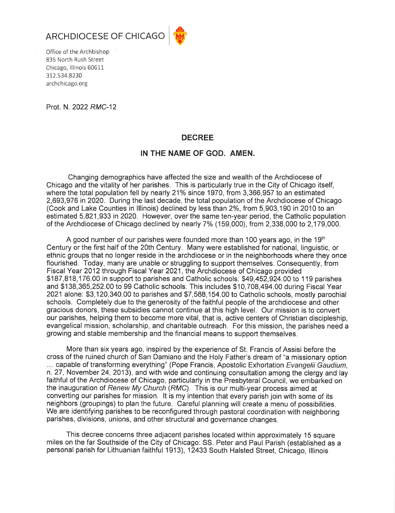



Office of the Archbishop 835 North Rush Street Chicago, Illinois 60611 312.534.8230 archchicago.org

Prot. N. 2022 RMC-12

## **DECREE**

## IN THE NAME OF GOD. AMEN.

Changing demographics have affected the size and wealth of the Archdiocese of Chicago and the vitality of her parishes. This is particularly true in the City of Chicago itself, where the total population fell by nearly 21% since 1970, from 3,366,957 to an estimated 2,693,976 in 2020. During the last decade, the total population of the Archdiocese of Chicago (Cook and Lake Counties in Illinois) declined by less than 2%, from 5,903,190 in 2010 to an estimated 5,821,933 in 2020. However, over the same ten-year period, the Catholic population of the Archdiocese of Chicago declined by nearly 7% (159,000), from 2,338,000 to 2,179,000.

A good number of our parishes were founded more than 100 years ago, in the 19<sup>th</sup> Century or the first half of the 20th Century. Many were established for national, linguistic, or ethnic groups that no longer reside in the archdiocese or in the neighborhoods where they once flourished. Today, many are unable or struggling to support themselves. Consequently, from Fiscal Year 2012 through Fiscal Year 2021, the Archdiocese of Chicago provided \$187,818,176,00 in support to parishes and Catholic schools: \$49,452,924,00 to 119 parishes and \$138,365,252.00 to 99 Catholic schools. This includes \$10,708,494.00 during Fiscal Year 2021 alone: \$3,120,340.00 to parishes and \$7,588,154.00 to Catholic schools, mostly parochial schools. Completely due to the generosity of the faithful people of the archdiocese and other gracious donors, these subsidies cannot continue at this high level. Our mission is to convert our parishes, helping them to become more vital, that is, active centers of Christian discipleship. evangelical mission, scholarship, and charitable outreach. For this mission, the parishes need a growing and stable membership and the financial means to support themselves.

More than six years ago, inspired by the experience of St. Francis of Assisi before the cross of the ruined church of San Damiano and the Holy Father's dream of "a missionary option ... capable of transforming everything" (Pope Francis, Apostolic Exhortation Evangelii Gaudium, n. 27, November 24, 2013), and with wide and continuing consultation among the clergy and lay faithful of the Archdiocese of Chicago, particularly in the Presbyteral Council, we embarked on the inauguration of Renew My Church (RMC). This is our multi-year process aimed at converting our parishes for mission. It is my intention that every parish join with some of its neighbors (groupings) to plan the future. Careful planning will create a menu of possibilities. We are identifying parishes to be reconfigured through pastoral coordination with neighboring parishes, divisions, unions, and other structural and governance changes.

This decree concerns three adjacent parishes located within approximately 15 square miles on the far Southside of the City of Chicago: SS. Peter and Paul Parish (established as a personal parish for Lithuanian faithful 1913), 12433 South Halsted Street, Chicago, Illinois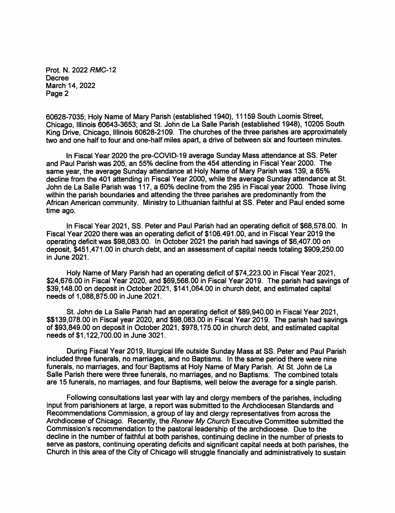Prot. N. 2022 RMC-12 Decree March 14, 2022 Page 2

60628-7035; Holy Name of Mary Parish (established 1940), 11159 South Loomis Street. Chicago, Illinois 60643-3653; and St. John de La Salle Parish (established 1948), 10205 South King Drive, Chicago, Illinois 60628-2109. The churches of the three parishes are approximately two and one half to four and one-half miles apart, a drive of between six and fourteen minutes.

In Fiscal Year 2020 the pre-COVID-19 average Sunday Mass attendance at SS. Peter and Paul Parish was 205, an 55% decline from the 454 attending in Fiscal Year 2000. The same vear, the average Sunday attendance at Holy Name of Mary Parish was 139, a 65% decline from the 401 attending in Fiscal Year 2000, while the average Sunday attendance at St. John de La Salle Parish was 117, a 60% decline from the 295 in Fiscal year 2000. Those living within the parish boundaries and attending the three parishes are predominantly from the African American community. Ministry to Lithuanian faithful at SS. Peter and Paul ended some time ago.

In Fiscal Year 2021, SS. Peter and Paul Parish had an operating deficit of \$68,578.00. In Fiscal Year 2020 there was an operating deficit of \$106.491.00, and in Fiscal Year 2019 the operating deficit was \$98,083,00. In October 2021 the parish had savings of \$6,407,00 on deposit, \$451,471.00 in church debt, and an assessment of capital needs totaling \$909,250.00 in June 2021.

Holy Name of Mary Parish had an operating deficit of \$74,223.00 in Fiscal Year 2021, \$24,676.00 in Fiscal Year 2020, and \$69,568.00 in Fiscal Year 2019. The parish had savings of \$39,148.00 on deposit in October 2021, \$141,064.00 in church debt, and estimated capital needs of 1,088,875.00 in June 2021.

St. John de La Salle Parish had an operating deficit of \$89,940.00 in Fiscal Year 2021, \$\$139,078,00 in Fiscal year 2020, and \$98,083.00 in Fiscal Year 2019. The parish had savings of \$93,849.00 on deposit in October 2021, \$978,175.00 in church debt, and estimated capital needs of \$1,122,700.00 in June 3021.

During Fiscal Year 2019, liturgical life outside Sunday Mass at SS. Peter and Paul Parish included three funerals, no marriages, and no Baptisms. In the same period there were nine funerals, no marriages, and four Baptisms at Holy Name of Mary Parish. At St. John de La Salle Parish there were three funerals, no marriages, and no Baptisms. The combined totals are 15 funerals, no marriages, and four Baptisms, well below the average for a single parish.

Following consultations last year with lay and clergy members of the parishes, including input from parishioners at large, a report was submitted to the Archdiocesan Standards and Recommendations Commission, a group of lay and clergy representatives from across the Archdiocese of Chicago. Recently, the Renew My Church Executive Committee submitted the Commission's recommendation to the pastoral leadership of the archdiocese. Due to the decline in the number of faithful at both parishes, continuing decline in the number of priests to serve as pastors, continuing operating deficits and significant capital needs at both parishes, the Church in this area of the City of Chicago will struggle financially and administratively to sustain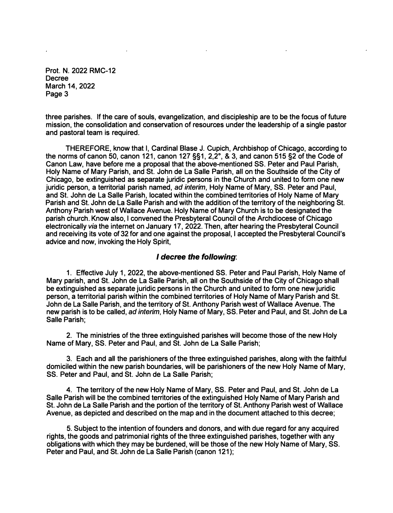**Prot. N. 2022 RMC-12 Decree March 14, 2022 Page 3** 

**three parishes. If the care of souls, evangelization, and discipleship are to be the focus of future mission, the consolidation and conservation of resources under the leadership of a single pastor and pastoral team is required.** 

**THEREFORE, know that I, Cardinal Blase J. Cupich, Archbishop of Chicago, according to the norms of canon 50, canon 121, canon 127 §§1, 2,2° , & 3, and canon 515 §2 of the Code of Canon Law, have before me a proposal that the above-mentioned SS. Peter and Paul Parish, Holy Name of Mary Parish, and St. John de La Salle Parish, all on the Southside of the City of Chicago, be extinguished as separate juridic persons in the Church and united to form one new juridic person, a territorial parish named,** *ad interim,* **Holy Name of Mary, SS. Peter and Paul, and St. John de La Salle Parish, located within the combined territories of Holy Name of Mary Parish and St. John de La Salle Parish and with the addition of the territory of the neighboring St. Anthony Parish west of Wallace Avenue. Holy Name of Mary Church is to be designated the parish church. Know also, I convened the Presbyteral Council of the Archdiocese of Chicago electronically** *via* **the internet on January 17, 2022. Then, after hearing the Presbyteral Council and receiving its vote of 32 for and one against the proposal, I accepted the Presbyteral Council's advice and now, invoking the Holy Spirit,** 

## *I decree the following:*

**1. Effective July 1, 2022, the above-mentioned SS. Peter and Paul Parish, Holy Name of Mary parish, and St. John de La Salle Parish, all on the Southside of the City of Chicago shall be extinguished as separate juridic persons in the Church and united to form one new juridic person, a territorial parish within the combined territories of Holy Name of Mary Parish and St. John de La Salle Parish, and the territory of St. Anthony Parish west of Wallace Avenue. The new parish is to be called,** *ad interim,* **Holy Name of Mary, SS. Peter and Paul, and St. John de La Salle Parish;** 

**2. The ministries of the three extinguished parishes will become those of the new Holy Name of Mary, SS. Peter and Paul, and St. John de La Salle Parish;** 

**3. Each and all the parishioners of the three extinguished parishes, along with the faithful domiciled within the new parish boundaries, will be parishioners of the new Holy Name of Mary, SS. Peter and Paul, and St. John de La Salle Parish;** 

**4. The territory of the new Holy Name of Mary, SS. Peter and Paul, and St. John de La Salle Parish will be the combined territories of the extinguished Holy Name of Mary Parish and St. John de La Salle Parish and the portion of the territory of St. Anthony Parish west of Wallace Avenue, as depicted and described on the map and in the document attached to this decree;** 

**5. Subject to the intention of founders and donors, and with due regard for any acquired rights, the goods and patrimonial rights of the three extinguished parishes, together with any obligations with which they may be burdened, will be those of the new Holy Name of Mary, SS. Peter and Paul, and St. John de La Salle Parish (canon 121);**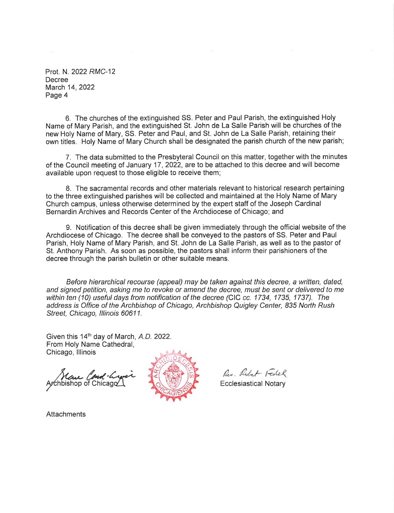Prot. N. 2022 RMC-12 Decree March 14, 2022 Page 4

6. The churches of the extinguished SS. Peter and Paul Parish, the extinguished Holy Name of Mary Parish, and the extinguished St. John de La Salle Parish will be churches of the new Holy Name of Mary, SS. Peter and Paul, and St. John de La Salle Parish, retaining their own titles. Holy Name of Mary Church shall be designated the parish church of the new parish;

7. The data submitted to the Presbyteral Council on this matter, together with the minutes of the Council meeting of January 17, 2022, are to be attached to this decree and will become available upon request to those eligible to receive them;

8. The sacramental records and other materials relevant to historical research pertaining to the three extinguished parishes will be collected and maintained at the Holy Name of Mary Church campus, unless otherwise determined by the expert staff of the Joseph Cardinal Bernardin Archives and Records Center of the Archdiocese of Chicago: and

9. Notification of this decree shall be given immediately through the official website of the Archdiocese of Chicago. The decree shall be conveyed to the pastors of SS. Peter and Paul Parish, Holy Name of Mary Parish, and St. John de La Salle Parish, as well as to the pastor of St. Anthony Parish. As soon as possible, the pastors shall inform their parishioners of the decree through the parish bulletin or other suitable means.

Before hierarchical recourse (appeal) may be taken against this decree, a written, dated, and signed petition, asking me to revoke or amend the decree, must be sent or delivered to me within ten (10) useful days from notification of the decree (CIC cc. 1734, 1735, 1737). The address is Office of the Archbishop of Chicago, Archbishop Quigley Center, 835 North Rush Street, Chicago, Illinois 60611.

Given this 14<sup>th</sup> day of March, A.D. 2022. From Holy Name Cathedral, Chicago, Illinois

Mare Cond-Ly<br>chbishop of Chicago



Res. Robert Festel

**Ecclesiastical Notary** 

**Attachments**